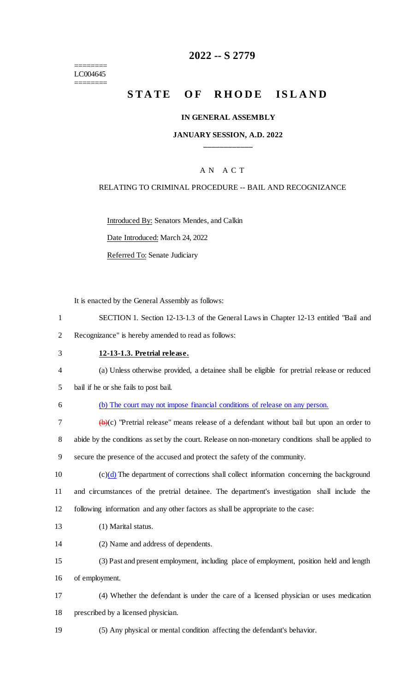======== LC004645 ========

## **2022 -- S 2779**

# **STATE OF RHODE ISLAND**

#### **IN GENERAL ASSEMBLY**

#### **JANUARY SESSION, A.D. 2022 \_\_\_\_\_\_\_\_\_\_\_\_**

### A N A C T

#### RELATING TO CRIMINAL PROCEDURE -- BAIL AND RECOGNIZANCE

Introduced By: Senators Mendes, and Calkin

Date Introduced: March 24, 2022

Referred To: Senate Judiciary

It is enacted by the General Assembly as follows:

- 1 SECTION 1. Section 12-13-1.3 of the General Laws in Chapter 12-13 entitled "Bail and 2 Recognizance" is hereby amended to read as follows:
- 3 **12-13-1.3. Pretrial release.**
- 4 (a) Unless otherwise provided, a detainee shall be eligible for pretrial release or reduced
- 5 bail if he or she fails to post bail.
- 6 (b) The court may not impose financial conditions of release on any person.

7  $(b)(c)$  "Pretrial release" means release of a defendant without bail but upon an order to 8 abide by the conditions as set by the court. Release on non-monetary conditions shall be applied to 9 secure the presence of the accused and protect the safety of the community.

10  $(c)(d)$  The department of corrections shall collect information concerning the background 11 and circumstances of the pretrial detainee. The department's investigation shall include the 12 following information and any other factors as shall be appropriate to the case:

- 13 (1) Marital status.
- 14 (2) Name and address of dependents.
- 15 (3) Past and present employment, including place of employment, position held and length 16 of employment.
- 17 (4) Whether the defendant is under the care of a licensed physician or uses medication 18 prescribed by a licensed physician.
- 19 (5) Any physical or mental condition affecting the defendant's behavior.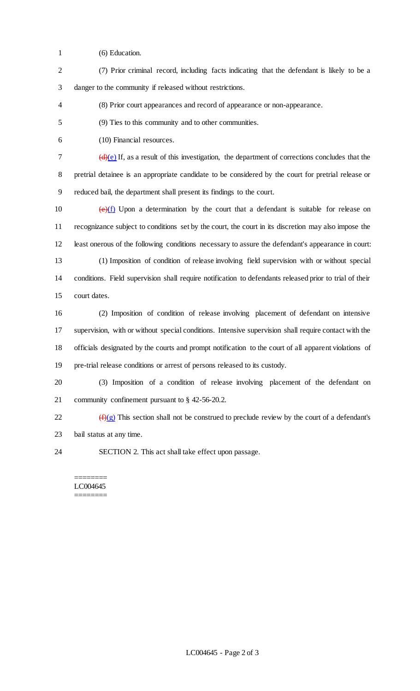- (6) Education.
- (7) Prior criminal record, including facts indicating that the defendant is likely to be a danger to the community if released without restrictions.
- (8) Prior court appearances and record of appearance or non-appearance.
- (9) Ties to this community and to other communities.
- (10) Financial resources.

 $7 \left(d\right)(e)$  If, as a result of this investigation, the department of corrections concludes that the pretrial detainee is an appropriate candidate to be considered by the court for pretrial release or reduced bail, the department shall present its findings to the court.

 $(e)(f)$  Upon a determination by the court that a defendant is suitable for release on recognizance subject to conditions set by the court, the court in its discretion may also impose the least onerous of the following conditions necessary to assure the defendant's appearance in court: (1) Imposition of condition of release involving field supervision with or without special conditions. Field supervision shall require notification to defendants released prior to trial of their court dates.

 (2) Imposition of condition of release involving placement of defendant on intensive supervision, with or without special conditions. Intensive supervision shall require contact with the officials designated by the courts and prompt notification to the court of all apparent violations of pre-trial release conditions or arrest of persons released to its custody.

 (3) Imposition of a condition of release involving placement of the defendant on community confinement pursuant to § 42-56-20.2.

 $\frac{f(x)}{g}$  This section shall not be construed to preclude review by the court of a defendant's bail status at any time.

SECTION 2. This act shall take effect upon passage.

#### ======== LC004645 ========